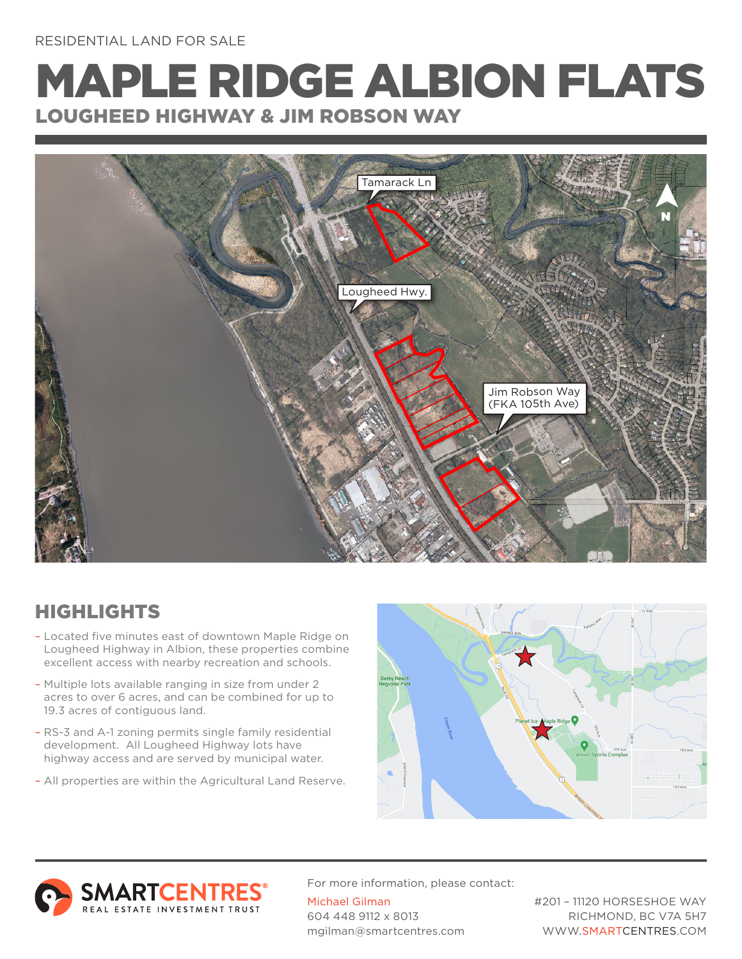## MAPLE RIDGE ALBION FLATS LOUGHEED HIGHWAY & JIM ROBSON WAY



## HIGHLIGHTS

- Located five minutes east of downtown Maple Ridge on Lougheed Highway in Albion, these properties combine excellent access with nearby recreation and schools.
- Multiple lots available ranging in size from under 2 acres to over 6 acres, and can be combined for up to 19.3 acres of contiguous land.
- RS-3 and A-1 zoning permits single family residential development. All Lougheed Highway lots have highway access and are served by municipal water.
- All properties are within the Agricultural Land Reserve.





For more information, please contact: Michael Gilman 604 448 9112 x 8013 mgilman@smartcentres.com

#201 – 11120 HORSESHOE WAY RICHMOND, BC V7A 5H7 WWW.SMARTCENTRES.COM